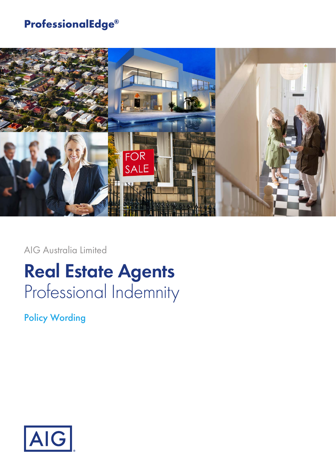# **ProfessionalEdge®**



AIG Australia Limited

# **Real Estate Agents** Professional Indemnity

Policy Wording

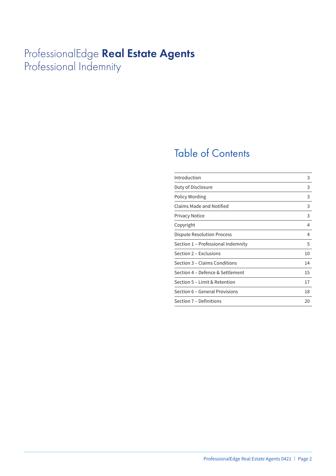# ProfessionalEdge **Real Estate Agents** Professional Indemnity

# Table of Contents

| Introduction                       | 3  |
|------------------------------------|----|
| Duty of Disclosure                 | 3  |
| Policy Wording                     | 3  |
| Claims Made and Notified           | 3  |
| <b>Privacy Notice</b>              | 3  |
| Copyright                          | 4  |
| Dispute Resolution Process         | 4  |
| Section 1 - Professional Indemnity | 5  |
| Section 2 – Exclusions             | 10 |
| Section 3 – Claims Conditions      | 14 |
| Section 4 – Defence & Settlement   | 15 |
| Section 5 - Limit & Retention      | 17 |
| Section 6 - General Provisions     | 18 |
| Section 7 - Definitions            | 20 |
|                                    |    |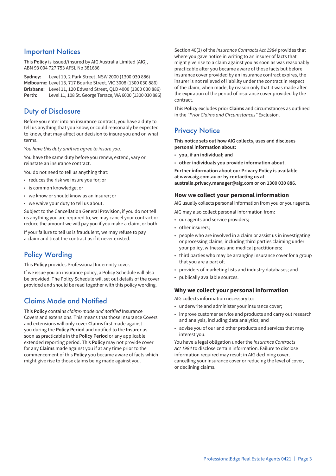### Important Notices

This **Policy** is issued/insured by AIG Australia Limited (AIG), ABN 93 004 727 753 AFSL No 381686

**Sydney:** Level 19, 2 Park Street, NSW 2000 (1300 030 886) **Melbourne:** Level 13, 717 Bourke Street, VIC 3008 (1300 030 886) **Brisbane:** Level 11, 120 Edward Street, QLD 4000 (1300 030 886) **Perth:** Level 11, 108 St. George Terrace, WA 6000 (1300 030 886)

### Duty of Disclosure

Before you enter into an insurance contract, you have a duty to tell us anything that you know, or could reasonably be expected to know, that may affect our decision to insure you and on what terms.

*You have this duty until we agree to insure you.*

You have the same duty before you renew, extend, vary or reinstate an insurance contract.

You do not need to tell us anything that:

- reduces the risk we insure you for; or
- is common knowledge; or
- we know or should know as an insurer; or
- we waive your duty to tell us about.

Subject to the Cancellation General Provision, if you do not tell us anything you are required to, we may cancel your contract or reduce the amount we will pay you if you make a claim, or both.

If your failure to tell us is fraudulent, we may refuse to pay a claim and treat the contract as if it never existed.

# Policy Wording

This **Policy** provides Professional Indemnity cover.

If we issue you an insurance policy, a Policy Schedule will also be provided. The Policy Schedule will set out details of the cover provided and should be read together with this policy wording.

# Claims Made and Notified

This **Policy** contains *claims-made and notified* Insurance Covers and extensions. This means that those Insurance Covers and extensions will only cover **Claims** first made against you during the **Policy Period** and notified to the **Insurer** as soon as practicable in the **Policy Period** or any applicable extended reporting period. This **Policy** may not provide cover for any **Claims** made against you if at any time prior to the commencement of this **Policy** you became aware of facts which might give rise to those claims being made against you.

Section 40(3) of the *Insurance Contracts Act 1984* provides that where you gave notice in writing to an insurer of facts that might give rise to a claim against you as soon as was reasonably practicable after you became aware of those facts but before insurance cover provided by an insurance contract expires, the insurer is not relieved of liability under the contract in respect of the claim, when made, by reason only that it was made after the expiration of the period of insurance cover provided by the contract.

This **Policy** excludes prior **Claims** and circumstances as outlined in the *"Prior Claims and Circumstances"* Exclusion.

### **Privacy Notice**

**This notice sets out how AIG collects, uses and discloses personal information about:**

- **you, if an individual; and**
- **other individuals you provide information about.**

**Further information about our Privacy Policy is available at www.aig.com.au or by contacting us at australia.privacy.manager@aig.com or on 1300 030 886.**

#### **How we collect your personal information**

AIG usually collects personal information from you or your agents.

- AIG may also collect personal information from:
- our agents and service providers;
- other insurers;
- people who are involved in a claim or assist us in investigating or processing claims, including third parties claiming under your policy, witnesses and medical practitioners;
- third parties who may be arranging insurance cover for a group that you are a part of;
- providers of marketing lists and industry databases; and
- publically available sources.

#### **Why we collect your personal information**

AIG collects information necessary to:

- underwrite and administer your insurance cover;
- improve customer service and products and carry out research and analysis, including data analytics; and
- advise you of our and other products and services that may interest you.

You have a legal obligation under the *Insurance Contracts Act 1984* to disclose certain information. Failure to disclose information required may result in AIG declining cover, cancelling your insurance cover or reducing the level of cover, or declining claims.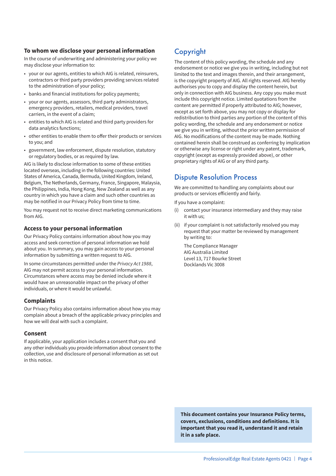#### **To whom we disclose your personal information**

In the course of underwriting and administering your policy we may disclose your information to:

- your or our agents, entities to which AIG is related, reinsurers, contractors or third party providers providing services related to the administration of your policy;
- banks and financial institutions for policy payments;
- your or our agents, assessors, third party administrators, emergency providers, retailers, medical providers, travel carriers, in the event of a claim;
- entities to which AIG is related and third party providers for data analytics functions;
- other entities to enable them to offer their products or services to you; and
- government, law enforcement, dispute resolution, statutory or regulatory bodies, or as required by law.

AIG is likely to disclose information to some of these entities located overseas, including in the following countries: United States of America, Canada, Bermuda, United Kingdom, Ireland, Belgium, The Netherlands, Germany, France, Singapore, Malaysia, the Philippines, India, Hong Kong, New Zealand as well as any country in which you have a claim and such other countries as may be notified in our Privacy Policy from time to time.

You may request not to receive direct marketing communications from AIG.

#### **Access to your personal information**

Our Privacy Policy contains information about how you may access and seek correction of personal information we hold about you. In summary, you may gain access to your personal information by submitting a written request to AIG.

In some circumstances permitted under the *Privacy Act 1988*, AIG may not permit access to your personal information. Circumstances where access may be denied include where it would have an unreasonable impact on the privacy of other individuals, or where it would be unlawful.

#### **Complaints**

Our Privacy Policy also contains information about how you may complain about a breach of the applicable privacy principles and how we will deal with such a complaint.

#### **Consent**

If applicable, your application includes a consent that you and any other individuals you provide information about consent to the collection, use and disclosure of personal information as set out in this notice.

# Copyright

The content of this policy wording, the schedule and any endorsement or notice we give you in writing, including but not limited to the text and images therein, and their arrangement, is the copyright property of AIG. All rights reserved. AIG hereby authorises you to copy and display the content herein, but only in connection with AIG business. Any copy you make must include this copyright notice. Limited quotations from the content are permitted if properly attributed to AIG; however, except as set forth above, you may not copy or display for redistribution to third parties any portion of the content of this policy wording, the schedule and any endorsement or notice we give you in writing, without the prior written permission of AIG. No modifications of the content may be made. Nothing contained herein shall be construed as conferring by implication or otherwise any license or right under any patent, trademark, copyright (except as expressly provided above), or other proprietary rights of AIG or of any third party.

### Dispute Resolution Process

We are committed to handling any complaints about our products or services efficiently and fairly.

If you have a complaint:

- (i) contact your insurance intermediary and they may raise it with us;
- (ii) if your complaint is not satisfactorily resolved you may request that your matter be reviewed by management by writing to:

The Compliance Manager AIG Australia Limited Level 13, 717 Bourke Street Docklands Vic 3008

**This document contains your Insurance Policy terms, covers, exclusions, conditions and definitions. It is important that you read it, understand it and retain it in a safe place.**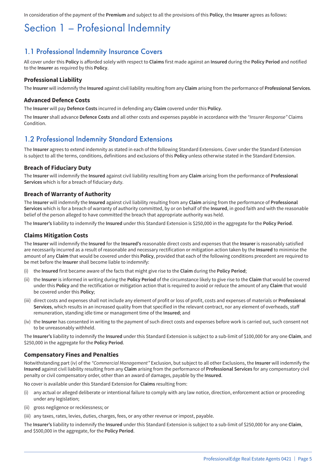In consideration of the payment of the **Premium** and subject to all the provisions of this **Policy**, the **Insurer** agrees as follows:

# Section 1 – Profesional Indemnity

### 1.1 Professional Indemnity Insurance Covers

All cover under this **Policy** is afforded solely with respect to **Claims** first made against an **Insured** during the **Policy Period** and notified to the **Insurer** as required by this **Policy**.

#### **Professional Liability**

The **Insurer** will indemnify the **Insured** against civil liability resulting from any **Claim** arising from the performance of **Professional Services**.

#### **Advanced Defence Costs**

The **Insurer** will pay **Defence Costs** incurred in defending any **Claim** covered under this **Policy**.

The **Insurer** shall advance **Defence Costs** and all other costs and expenses payable in accordance with the *"Insurer Response"* Claims **Condition** 

### 1.2 Professional Indemnity Standard Extensions

The **Insurer** agrees to extend indemnity as stated in each of the following Standard Extensions. Cover under the Standard Extension is subject to all the terms, conditions, definitions and exclusions of this **Policy** unless otherwise stated in the Standard Extension.

#### **Breach of Fiduciary Duty**

The **Insurer** will indemnify the **Insured** against civil liability resulting from any **Claim** arising from the performance of **Professional Services** which is for a breach of fiduciary duty.

#### **Breach of Warranty of Authority**

The **Insurer** will indemnify the **Insured** against civil liability resulting from any **Claim** arising from the performance of **Professional Services** which is for a breach of warranty of authority committed, by or on behalf of the **Insured**, in good faith and with the reasonable belief of the person alleged to have committed the breach that appropriate authority was held.

The **Insurer's** liability to indemnify the **Insured** under this Standard Extension is \$250,000 in the aggregate for the **Policy Period**.

#### **Claims Mitigation Costs**

The **Insurer** will indemnify the **Insured** for the **Insured's** reasonable direct costs and expenses that the **Insurer** is reasonably satisfied are necessarily incurred as a result of reasonable and necessary rectification or mitigation action taken by the **Insured** to minimise the amount of any **Claim** that would be covered under this **Policy**, provided that each of the following conditions precedent are required to be met before the **Insurer** shall become liable to indemnify:

- (i) the **Insured** first became aware of the facts that might give rise to the **Claim** during the **Policy Period**;
- (ii) the **Insurer** is informed in writing during the **Policy Period** of the circumstance likely to give rise to the **Claim** that would be covered under this **Policy** and the rectification or mitigation action that is required to avoid or reduce the amount of any **Claim** that would be covered under this **Policy**;
- (iii) direct costs and expenses shall not include any element of profit or loss of profit, costs and expenses of materials or **Professional Services**, which results in an increased quality from that specified in the relevant contract, nor any element of overheads, staff remuneration, standing idle time or management time of the **Insured**; and
- (iv) the **Insurer** has consented in writing to the payment of such direct costs and expenses before work is carried out, such consent not to be unreasonably withheld.

The **Insurer's** liability to indemnify the **Insured** under this Standard Extension is subject to a sub-limit of \$100,000 for any one **Claim**, and \$250,000 in the aggregate for the **Policy Period**.

#### **Compensatory Fines and Penalties**

Notwithstanding part (iv) of the *"Commercial Management"* Exclusion, but subject to all other Exclusions, the **Insurer** will indemnify the **Insured** against civil liability resulting from any **Claim** arising from the performance of **Professional Services** for any compensatory civil penalty or civil compensatory order, other than an award of damages, payable by the **Insured**.

No cover is available under this Standard Extension for **Claims** resulting from:

- (i) any actual or alleged deliberate or intentional failure to comply with any law notice, direction, enforcement action or proceeding under any legislation;
- (ii) gross negligence or recklessness; or
- (iii) any taxes, rates, levies, duties, charges, fees, or any other revenue or impost, payable.

The **Insurer's** liability to indemnify the **Insured** under this Standard Extension is subject to a sub-limit of \$250,000 for any one **Claim**, and \$500,000 in the aggregate, for the **Policy Period**.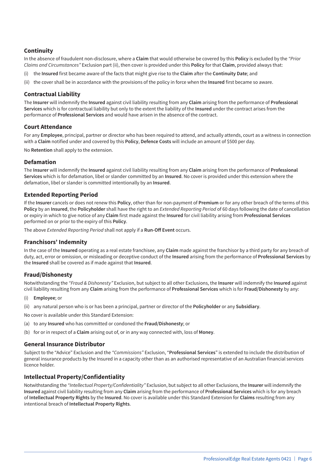#### **Continuity**

In the absence of fraudulent non-disclosure, where a **Claim** that would otherwise be covered by this **Policy** is excluded by the *"Prior Claims and Circumstances"* Exclusion part (ii), then cover is provided under this **Policy** for that **Claim**, provided always that:

- (i) the **Insured** first became aware of the facts that might give rise to the **Claim** after the **Continuity Date**; and
- (ii) the cover shall be in accordance with the provisions of the policy in force when the **Insured** first became so aware.

#### **Contractual Liability**

The **Insurer** will indemnify the **Insured** against civil liability resulting from any **Claim** arising from the performance of **Professional Services** which is for contractual liability but only to the extent the liability of the **Insured** under the contract arises from the performance of **Professional Services** and would have arisen in the absence of the contract.

#### **Court Attendance**

For any **Employee**, principal, partner or director who has been required to attend, and actually attends, court as a witness in connection with a **Claim** notified under and covered by this **Policy**, **Defence Costs** will include an amount of \$500 per day.

No **Retention** shall apply to the extension.

#### **Defamation**

The **Insurer** will indemnify the **Insured** against civil liability resulting from any **Claim** arising from the performance of **Professional Services** which is for defamation, libel or slander committed by an **Insured**. No cover is provided under this extension where the defamation, libel or slander is committed intentionally by an **Insured**.

#### **Extended Reporting Period**

If the **Insurer** cancels or does not renew this **Policy**, other than for non-payment of **Premium** or for any other breach of the terms of this **Policy** by an **Insured**, the **Policyholder** shall have the right to an *Extended Reporting Period* of 60 days following the date of cancellation or expiry in which to give notice of any **Claim** first made against the **Insured** for civil liability arising from **Professional Services** performed on or prior to the expiry of this **Policy**.

The above *Extended Reporting Period* shall not apply if a **Run-Off Event** occurs.

#### **Franchisors' Indemnity**

In the case of the **Insured** operating as a real estate franchisee, any **Claim** made against the franchisor by a third party for any breach of duty, act, error or omission, or misleading or deceptive conduct of the **Insured** arising from the performance of **Professional Services** by the **Insured** shall be covered as if made against that **Insured**.

#### **Fraud/Dishonesty**

Notwithstanding the *"Fraud & Dishonesty"* Exclusion, but subject to all other Exclusions, the **Insurer** will indemnify the **Insured** against civil liability resulting from any **Claim** arising from the performance of **Professional Services** which is for **Fraud/Dishonesty** by any:

- **Employee**; or
- (ii) any natural person who is or has been a principal, partner or director of the **Policyholder** or any **Subsidiary**.
- No cover is available under this Standard Extension:
- (a) to any **Insured** who has committed or condoned the **Fraud/Dishonesty**; or
- (b) for or in respect of a **Claim** arising out of, or in any way connected with, loss of **Money**.

#### **General Insurance Distributor**

Subject to the "Advice" Exclusion and the *"Commissions"* Exclusion, "**Professional Services**" is extended to include the distribution of general insurance products by the Insured in a capacity other than as an authorised representative of an Australian financial services licence holder.

#### **Intellectual Property/Confidentiality**

Notwithstanding the *"Intellectual Property/Confidentiality"* Exclusion, but subject to all other Exclusions, the **Insurer** will indemnify the **Insured** against civil liability resulting from any **Claim** arising from the performance of **Professional Services** which is for any breach of **Intellectual Property Rights** by the **Insured**. No cover is available under this Standard Extension for **Claims** resulting from any intentional breach of **Intellectual Property Rights**.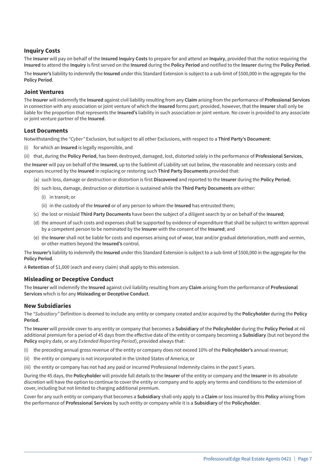#### **Inquiry Costs**

The **Insurer** will pay on behalf of the **Insured Inquiry Costs** to prepare for and attend an **Inquiry**, provided that the notice requiring the **Insured** to attend the **Inquiry** is first served on the **Insured** during the **Policy Period** and notified to the **Insurer** during the **Policy Period**.

The **Insurer's** liability to indemnify the **Insured** under this Standard Extension is subject to a sub-limit of \$500,000 in the aggregate for the **Policy Period**.

#### **Joint Ventures**

The **Insurer** will indemnify the **Insured** against civil liability resulting from any **Claim** arising from the performance of **Professional Services** in connection with any association or joint venture of which the **Insured** forms part; provided, however, that the **Insurer** shall only be liable for the proportion that represents the **Insured's** liability in such association or joint venture. No cover is provided to any associate or joint venture partner of the **Insured**.

#### **Lost Documents**

Notwithstanding the *"Cyber"* Exclusion, but subject to all other Exclusions, with respect to a **Third Party's Document**:

- (i) for which an **Insured** is legally responsible, and
- (ii) that, during the **Policy Period**, has been destroyed, damaged, lost, distorted solely in the performance of **Professional Services**,

the **Insurer** will pay on behalf of the **Insured**, up to the Sublimit of Liability set out below, the reasonable and necessary costs and expenses incurred by the **Insured** in replacing or restoring such **Third Party Documents** provided that:

- (a) such loss, damage or destruction or distortion is first **Discovered** and reported to the **Insurer** during the **Policy Period**;
- (b) such loss, damage, destruction or distortion is sustained while the **Third Party Documents** are either:
	- (i) in transit; or
	- (ii) in the custody of the **Insured** or of any person to whom the **Insured** has entrusted them;
- (c) the lost or mislaid **Third Party Documents** have been the subject of a diligent search by or on behalf of the **Insured**;
- (d) the amount of such costs and expenses shall be supported by evidence of expenditure that shall be subject to written approval by a competent person to be nominated by the **Insurer** with the consent of the **Insured**; and
- (e) the **Insurer** shall not be liable for costs and expenses arising out of wear, tear and/or gradual deterioration, moth and vermin, or other matters beyond the **Insured's** control.

The **Insurer's** liability to indemnify the **Insured** under this Standard Extension is subject to a sub-limit of \$500,000 in the aggregate for the **Policy Period**.

A **Retention** of \$1,000 (each and every claim) shall apply to this extension.

#### **Misleading or Deceptive Conduct**

The **Insurer** will indemnify the **Insured** against civil liability resulting from any **Claim** arising from the performance of **Professional Services** which is for any **Misleading or Deceptive Conduct**.

#### **New Subsidiaries**

The *"Subsidiary"* Definition is deemed to include any entity or company created and/or acquired by the **Policyholder** during the **Policy Period**.

The **Insurer** will provide cover to any entity or company that becomes a **Subsidiary** of the **Policyholder** during the **Policy Period** at nil additional premium for a period of 45 days from the effective date of the entity or company becoming a **Subsidiary** (but not beyond the **Policy** expiry date, or any *Extended Reporting Period*), provided always that:

- (i) the preceding annual gross revenue of the entity or company does not exceed 10% of the **Policyholder's** annual revenue;
- (ii) the entity or company is not incorporated in the United States of America; or
- (iii) the entity or company has not had any paid or incurred Professional Indemnity claims in the past 5 years.

During the 45 days, the **Policyholder** will provide full details to the **Insurer** of the entity or company and the **Insurer** in its absolute discretion will have the option to continue to cover the entity or company and to apply any terms and conditions to the extension of cover, including but not limited to charging additional premium.

Cover for any such entity or company that becomes a **Subsidiary** shall only apply to a **Claim** or loss insured by this **Policy** arising from the performance of **Professional Services** by such entity or company while it is a **Subsidiary** of the **Policyholder**.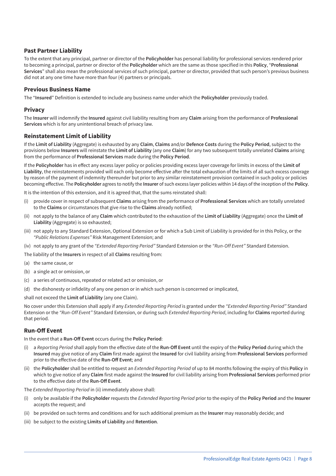#### **Past Partner Liability**

To the extent that any principal, partner or director of the **Policyholder** has personal liability for professional services rendered prior to becoming a principal, partner or director of the **Policyholder** which are the same as those specified in this **Policy**, "**Professional Services**" shall also mean the professional services of such principal, partner or director, provided that such person's previous business did not at any one time have more than four (4) partners or principals.

#### **Previous Business Name**

The "**Insured**" Definition is extended to include any business name under which the **Policyholder** previously traded.

#### **Privacy**

The **Insurer** will indemnify the **Insured** against civil liability resulting from any **Claim** arising from the performance of **Professional Services** which is for any unintentional breach of privacy law.

#### **Reinstatement Limit of Liability**

If the **Limit of Liability** (Aggregate) is exhausted by any **Claim**, **Claims** and/or **Defence Costs** during the **Policy Period**, subject to the provisions below **Insurers** will reinstate the **Limit of Liability** (any one **Claim**) for any two subsequent totally unrelated **Claims** arising from the performance of **Professional Services** made during the **Policy Period**.

If the **Policyholder** has in effect any excess layer policy or policies providing excess layer coverage for limits in excess of the **Limit of Liability**, the reinstatements provided will each only become effective after the total exhaustion of the limits of all such excess coverage by reason of the payment of indemnity thereunder but prior to any similar reinstatement provision contained in such policy or policies becoming effective. The **Policyholder** agrees to notify the **Insurer** of such excess layer policies within 14 days of the inception of the **Policy**.

It is the intention of this extension, and it is agreed that, that the sums reinstated shall:

- (i) provide cover in respect of subsequent **Claims** arising from the performance of **Professional Services** which are totally unrelated to the **Claims** or circumstances that give rise to the **Claims** already notified;
- (ii) not apply to the balance of any **Claim** which contributed to the exhaustion of the **Limit of Liability** (Aggregate) once the **Limit of Liability** (Aggregate) is so exhausted;
- (iii) not apply to any Standard Extension, Optional Extension or for which a Sub Limit of Liability is provided for in this Policy, or the *"Public Relations Expenses"* Risk Management Extension; and
- (iv) not apply to any grant of the *"Extended Reporting Period"* Standard Extension or the *"Run-Off Event"* Standard Extension.

The liability of the **Insurers** in respect of all **Claims** resulting from:

- (a) the same cause, or
- (b) a single act or omission, or
- (c) a series of continuous, repeated or related act or omission, or
- (d) the dishonesty or infidelity of any one person or in which such person is concerned or implicated,

shall not exceed the **Limit of Liability** (any one Claim).

No cover under this Extension shall apply if any *Extended Reporting Period* is granted under the *"Extended Reporting Period"* Standard Extension or the *"Run-Off Event"* Standard Extension, or during such *Extended Reporting Period*, including for **Claims** reported during that period.

#### **Run-Off Event**

In the event that a **Run-Off Event** occurs during the **Policy Period**:

- (i) a *Reporting Period* shall apply from the effective date of the **Run-Off Event** until the expiry of the **Policy Period** during which the **Insured** may give notice of any **Claim** first made against the **Insured** for civil liability arising from **Professional Services** performed prior to the effective date of the **Run-Off Event**; and
- (ii) the **Policyholder** shall be entitled to request an *Extended Reporting Period* of up to 84 months following the expiry of this **Policy** in which to give notice of any **Claim** first made against the **Insured** for civil liability arising from **Professional Services** performed prior to the effective date of the **Run-Off Event**.

The *Extended Reporting Period* in (ii) immediately above shall:

- (i) only be available if the **Policyholder** requests the *Extended Reporting Period* prior to the expiry of the **Policy Period** and the **Insurer** accepts the request; and
- (ii) be provided on such terms and conditions and for such additional premium as the **Insurer** may reasonably decide; and
- (iii) be subject to the existing **Limits of Liability** and **Retention**.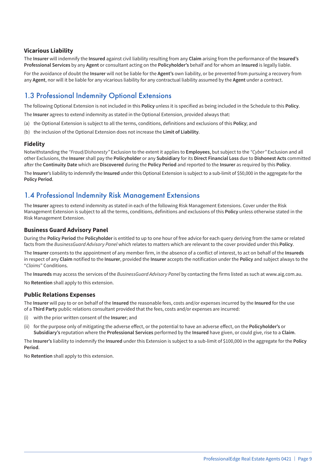#### **Vicarious Liability**

The **Insurer** will indemnify the **Insured** against civil liability resulting from any **Claim** arising from the performance of the **Insured's Professional Services** by any **Agent** or consultant acting on the **Policyholder's** behalf and for whom an **Insured** is legally liable.

For the avoidance of doubt the **Insurer** will not be liable for the **Agent's** own liability, or be prevented from pursuing a recovery from any **Agent**, nor will it be liable for any vicarious liability for any contractual liability assumed by the **Agent** under a contract.

# 1.3 Professional Indemnity Optional Extensions

The following Optional Extension is not included in this **Policy** unless it is specified as being included in the Schedule to this **Policy**.

The **Insurer** agrees to extend indemnity as stated in the Optional Extension, provided always that:

- (a) the Optional Extension is subject to all the terms, conditions, definitions and exclusions of this **Policy**; and
- (b) the inclusion of the Optional Extension does not increase the **Limit of Liability**.

#### **Fidelity**

Notwithstanding the *"Fraud/Dishonesty"* Exclusion to the extent it applies to **Employees**, but subject to the *"Cyber"* Exclusion and all other Exclusions, the **Insurer** shall pay the **Policyholder** or any **Subsidiary** for its **Direct Financial Loss** due to **Dishonest Acts** committed after the **Continuity Date** which are **Discovered** during the **Policy Period** and reported to the **Insurer** as required by this **Policy**.

The **Insurer**'s liability to indemnify the **Insured** under this Optional Extension is subject to a sub-limit of \$50,000 in the aggregate for the **Policy Period**.

### 1.4 Professional Indemnity Risk Management Extensions

The **Insurer** agrees to extend indemnity as stated in each of the following Risk Management Extensions. Cover under the Risk Management Extension is subject to all the terms, conditions, definitions and exclusions of this **Policy** unless otherwise stated in the Risk Management Extension.

#### **Business Guard Advisory Panel**

During the **Policy Period** the **Policyholder** is entitled to up to one hour of free advice for each query deriving from the same or related facts from the *BusinessGuard Advisory Panel* which relates to matters which are relevant to the cover provided under this **Policy**.

The **Insurer** consents to the appointment of any member firm, in the absence of a conflict of interest, to act on behalf of the **Insureds** in respect of any **Claim** notified to the **Insurer**, provided the **Insurer** accepts the notification under the **Policy** and subject always to the "*Claims*" Conditions.

The **Insureds** may access the services of the *BusinessGuard Advisory Panel* by contacting the firms listed as such at www.aig.com.au.

No **Retention** shall apply to this extension.

#### **Public Relations Expenses**

The **Insurer** will pay to or on behalf of the **Insured** the reasonable fees, costs and/or expenses incurred by the **Insured** for the use of a **Third Party** public relations consultant provided that the fees, costs and/or expenses are incurred:

- (i) with the prior written consent of the **Insurer**; and
- (ii) for the purpose only of mitigating the adverse effect, or the potential to have an adverse effect, on the **Policyholder's** or **Subsidiary's** reputation where the **Professional Services** performed by the **Insured** have given, or could give, rise to a **Claim**.

The **Insurer's** liability to indemnify the **Insured** under this Extension is subject to a sub-limit of \$100,000 in the aggregate for the **Policy Period**.

No **Retention** shall apply to this extension.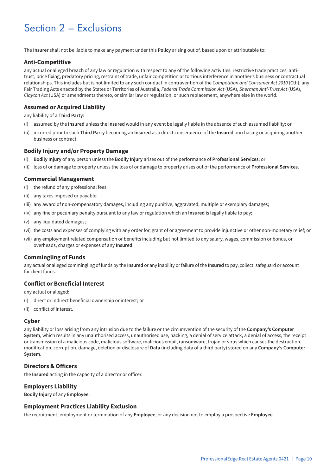# Section 2 – Exclusions

The **Insurer** shall not be liable to make any payment under this **Policy** arising out of, based upon or attributable to:

#### **Anti-Competitive**

any actual or alleged breach of any law or regulation with respect to any of the following activities: restrictive trade practices, antitrust, price fixing, predatory pricing, restraint of trade, unfair competition or tortious interference in another's business or contractual relationships. This includes but is not limited to any such conduct in contravention of the *Competition and Consumer Act 2010* (Cth), any Fair Trading Acts enacted by the States or Territories of Australia, *Federal Trade Commission Act* (USA), *Sherman Anti-Trust Act* (USA), *Clayton Act* (USA) or amendments thereto, or similar law or regulation, or such replacement, anywhere else in the world.

#### **Assumed or Acquired Liability**

any liability of a **Third Party**:

- (i) assumed by the **Insured** unless the **Insured** would in any event be legally liable in the absence of such assumed liability; or
- (ii) incurred prior to such **Third Party** becoming an **Insured** as a direct consequence of the **Insured** purchasing or acquiring another business or contract.

#### **Bodily Injury and/or Property Damage**

- (i) **Bodily Injury** of any person unless the **Bodily Injury** arises out of the performance of **Professional Services**; or
- (ii) loss of or damage to property unless the loss of or damage to property arises out of the performance of **Professional Services**.

#### **Commercial Management**

- (i) the refund of any professional fees;
- (ii) any taxes imposed or payable;
- (iii) any award of non-compensatory damages, including any punitive, aggravated, multiple or exemplary damages;
- (iv) any fine or pecuniary penalty pursuant to any law or regulation which an **Insured** is legally liable to pay;
- (v) any liquidated damages;
- (vi) the costs and expenses of complying with any order for, grant of or agreement to provide injunctive or other non-monetary relief; or
- (vii) any employment related compensation or benefits including but not limited to any salary, wages, commission or bonus, or overheads, charges or expenses of any **Insured**.

#### **Commingling of Funds**

any actual or alleged commingling of funds by the **Insured** or any inability or failure of the **Insured** to pay, collect, safeguard or account for client funds.

#### **Conflict or Beneficial Interest**

any actual or alleged:

- (i) direct or indirect beneficial ownership or interest; or
- (ii) conflict of interest.

#### **Cyber**

any liability or loss arising from any intrusion due to the failure or the circumvention of the security of the **Company's Computer System**, which results in any unauthorised access, unauthorised use, hacking, a denial of service attack, a denial of access, the receipt or transmission of a malicious code, malicious software, malicious email, ransomware, trojan or virus which causes the destruction, modification, corruption, damage, deletion or disclosure of **Data** (including data of a third party) stored on any **Company's Computer System**.

#### **Directors & Officers**

the **Insured** acting in the capacity of a director or officer.

#### **Employers Liability**

**Bodily Injury** of any **Employee**.

#### **Employment Practices Liability Exclusion**

the recruitment, employment or termination of any **Employee**, or any decision not to employ a prospective **Employee**.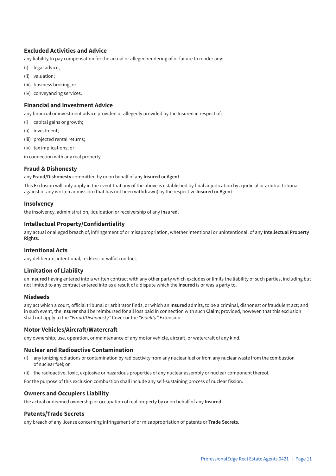#### **Excluded Activities and Advice**

any liability to pay compensation for the actual or alleged rendering of or failure to render any:

- (i) legal advice;
- (ii) valuation;
- (iii) business broking; or
- (iv) conveyancing services.

#### **Financial and Investment Advice**

any financial or investment advice provided or allegedly provided by the Insured in respect of:

- (i) capital gains or growth;
- (ii) investment;
- (iii) projected rental returns;
- (iv) tax implications; or
- in connection with any real property.

#### **Fraud & Dishonesty**

any **Fraud/Dishonesty** committed by or on behalf of any **Insured** or **Agent**.

This Exclusion will only apply in the event that any of the above is established by final adjudication by a judicial or arbitral tribunal against or any written admission (that has not been withdrawn) by the respective **Insured** or **Agent**.

#### **Insolvency**

the insolvency, administration, liquidation or receivership of any **Insured**.

#### **Intellectual Property/Confidentiality**

any actual or alleged breach of, infringement of or misappropriation, whether intentional or unintentional, of any **Intellectual Property Rights**.

#### **Intentional Acts**

any deliberate, intentional, reckless or wilful conduct.

#### **Limitation of Liability**

an **Insured** having entered into a written contract with any other party which excludes or limits the liability of such parties, including but not limited to any contract entered into as a result of a dispute which the **Insured** is or was a party to.

#### **Misdeeds**

any act which a court, official tribunal or arbitrator finds, or which an **Insured** admits, to be a criminal, dishonest or fraudulent act; and in such event, the **Insurer** shall be reimbursed for all loss paid in connection with such **Claim**; provided, however, that this exclusion shall not apply to the *"Fraud/Dishonesty"* Cover or the *"Fidelity"* Extension.

#### **Motor Vehicles/Aircraft/Watercraft**

any ownership, use, operation, or maintenance of any motor vehicle, aircraft, or watercraft of any kind.

#### **Nuclear and Radioactive Contamination**

- (i) any ionizing radiations or contamination by radioactivity from any nuclear fuel or from any nuclear waste from the combustion of nuclear fuel; or
- (ii) the radioactive, toxic, explosive or hazardous properties of any nuclear assembly or nuclear component thereof.

For the purpose of this exclusion combustion shall include any self-sustaining process of nuclear fission.

#### **Owners and Occupiers Liability**

the actual or deemed ownership or occupation of real property by or on behalf of any **Insured**.

#### **Patents/Trade Secrets**

any breach of any license concerning infringement of or misappropriation of patents or **Trade Secrets**.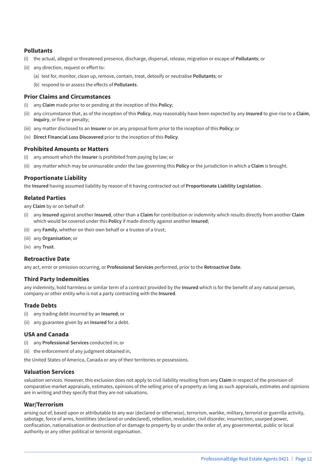#### **Pollutants**

- (i) the actual, alleged or threatened presence, discharge, dispersal, release, migration or escape of **Pollutants**; or
- (ii) any direction, request or effort to:
	- (a) test for, monitor, clean up, remove, contain, treat, detoxify or neutralise **Pollutants**; or
	- (b) respond to or assess the effects of **Pollutants**.

#### **Prior Claims and Circumstances**

- (i) any **Claim** made prior to or pending at the inception of this **Policy**;
- (ii) any circumstance that, as of the inception of this **Policy**, may reasonably have been expected by any **Insured** to give rise to a **Claim**, **Inquiry**, or fine or penalty;
- (iii) any matter disclosed to an **Insurer** or on any proposal form prior to the inception of this **Policy**; or
- (iv) **Direct Financial Loss Discovered** prior to the inception of this **Policy**.

#### **Prohibited Amounts or Matters**

- (i) any amount which the **Insurer** is prohibited from paying by law; or
- (ii) any matter which may be uninsurable under the law governing this **Policy** or the jurisdiction in which a **Claim** is brought.

#### **Proportionate Liability**

the **Insured** having assumed liability by reason of it having contracted out of **Proportionate Liability Legislation**.

#### **Related Parties**

any **Claim** by or on behalf of:

- (i) any **Insured** against another **Insured**, other than a **Claim** for contribution or indemnity which results directly from another **Claim** which would be covered under this **Policy** if made directly against another **Insured**;
- (ii) any **Family**, whether on their own behalf or a trustee of a trust;
- (iii) any **Organisation**; or
- (iv) any **Trust**.

#### **Retroactive Date**

any act, error or omission occurring, or **Professional Services** performed, prior to the **Retroactive Date**.

#### **Third Party Indemnities**

any indemnity, hold harmless or similar term of a contract provided by the **Insured** which is for the benefit of any natural person, company or other entity who is not a party contracting with the **Insured**.

#### **Trade Debts**

- (i) any trading debt incurred by an **Insured**; or
- (ii) any guarantee given by an **Insured** for a debt.

#### **USA and Canada**

- (i) any **Professional Services** conducted in; or
- (ii) the enforcement of any judgment obtained in,

the United States of America, Canada or any of their territories or possessions.

#### **Valuation Services**

valuation services. However, this exclusion does not apply to civil liability resulting from any **Claim** in respect of the provision of comparative market appraisals, estimates, opinions of the selling price of a property as long as such appraisals, estimates and opinions are in writing and they specify that they are not valuations.

#### **War/Terrorism**

arising out of, based upon or attributable to any war (declared or otherwise), terrorism, warlike, military, terrorist or guerrilla activity, sabotage, force of arms, hostilities (declared or undeclared), rebellion, revolution, civil disorder, insurrection, usurped power, confiscation, nationalisation or destruction of or damage to property by or under the order of, any governmental, public or local authority or any other political or terrorist organisation.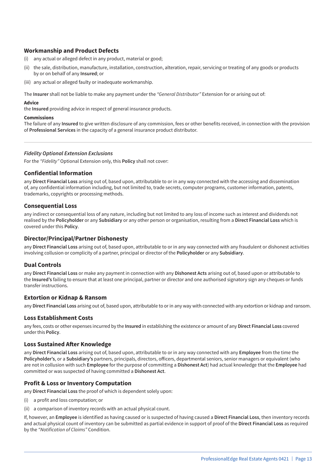#### **Workmanship and Product Defects**

- (i) any actual or alleged defect in any product, material or good;
- (ii) the sale, distribution, manufacture, installation, construction, alteration, repair, servicing or treating of any goods or products by or on behalf of any **Insured**; or
- (iii) any actual or alleged faulty or inadequate workmanship.

The **Insurer** shall not be liable to make any payment under the *"General Distributor"* Extension for or arising out of:

#### **Advice**

the **Insured** providing advice in respect of general insurance products.

#### **Commissions**

The failure of any **Insured** to give written disclosure of any commission, fees or other benefits received, in connection with the provision of **Professional Services** in the capacity of a general insurance product distributor.

#### *Fidelity Optional Extension Exclusions*

For the *"Fidelity"* Optional Extension only, this **Policy** shall not cover:

#### **Confidential Information**

any **Direct Financial Loss** arising out of, based upon, attributable to or in any way connected with the accessing and dissemination of, any confidential information including, but not limited to, trade secrets, computer programs, customer information, patents, trademarks, copyrights or processing methods.

#### **Consequential Loss**

any indirect or consequential loss of any nature, including but not limited to any loss of income such as interest and dividends not realised by the **Policyholder** or any **Subsidiary** or any other person or organisation, resulting from a **Direct Financial Loss** which is covered under this **Policy**.

#### **Director/Principal/Partner Dishonesty**

any **Direct Financial Loss** arising out of, based upon, attributable to or in any way connected with any fraudulent or dishonest activities involving collusion or complicity of a partner, principal or director of the **Policyholder** or any **Subsidiary**.

#### **Dual Controls**

any **Direct Financial Loss** or make any payment in connection with any **Dishonest Acts** arising out of, based upon or attributable to the **Insured's** failing to ensure that at least one principal, partner or director and one authorised signatory sign any cheques or funds transfer instructions.

#### **Extortion or Kidnap & Ransom**

any **Direct Financial Loss** arising out of, based upon, attributable to or in any way with connected with any extortion or kidnap and ransom.

#### **Loss Establishment Costs**

any fees, costs or other expenses incurred by the **Insured** in establishing the existence or amount of any **Direct Financial Loss** covered under this **Policy**.

#### **Loss Sustained After Knowledge**

any **Direct Financial Loss** arising out of, based upon, attributable to or in any way connected with any **Employee** from the time the **Policyholder's**, or a **Subsidiary's** partners, principals, directors, officers, departmental seniors, senior managers or equivalent (who are not in collusion with such **Employee** for the purpose of committing a **Dishonest Act**) had actual knowledge that the **Employee** had committed or was suspected of having committed a **Dishonest Act**.

#### **Profit & Loss or Inventory Computation**

any **Direct Financial Loss** the proof of which is dependent solely upon:

- (i) a profit and loss computation; or
- (ii) a comparison of inventory records with an actual physical count.

If, however, an **Employee** is identified as having caused or is suspected of having caused a **Direct Financial Loss**, then inventory records and actual physical count of inventory can be submitted as partial evidence in support of proof of the **Direct Financial Loss** as required by the *"Notification of Claims"* Condition.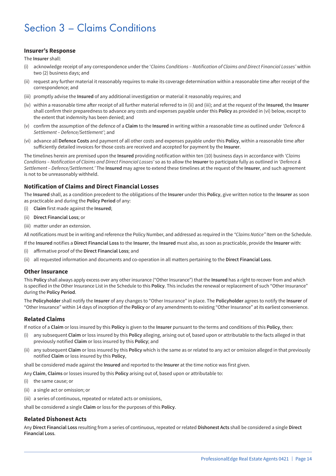# Section 3 – Claims Conditions

#### **Insurer's Response**

The **Insurer** shall:

- (i) acknowledge receipt of any correspondence under the '*Claims Conditions Notification of Claims and Direct Financial Losses'* within two (2) business days; and
- (ii) request any further material it reasonably requires to make its coverage determination within a reasonable time after receipt of the correspondence; and
- (iii) promptly advise the **Insured** of any additional investigation or material it reasonably requires; and
- (iv) within a reasonable time after receipt of all further material referred to in (ii) and (iii); and at the request of the **Insured**, the **Insurer** shall confirm their preparedness to advance any costs and expenses payable under this **Policy** as provided in (vi) below, except to the extent that indemnity has been denied; and
- (v) confirm the assumption of the defence of a **Claim** to the **Insured** in writing within a reasonable time as outlined under *'Defence & Settlement – Defence/Settlement'*; and
- (vi) advance all **Defence Costs** and payment of all other costs and expenses payable under this **Policy**, within a reasonable time after sufficiently detailed invoices for those costs are received and accepted for payment by the **Insurer**.

The timelines herein are premised upon the **Insured** providing notification within ten (10) business days in accordance with *'Claims Conditions – Notification of Claims and Direct Financial Losses'* so as to allow the **Insurer** to participate fully as outlined in *'Defence & Settlement – Defence/Settlement.'* The **Insured** may agree to extend these timelines at the request of the **Insurer**, and such agreement is not to be unreasonably withheld.

#### **Notification of Claims and Direct Financial Losses**

The **Insured** shall, as a condition precedent to the obligations of the **Insurer** under this **Policy**, give written notice to the **Insurer** as soon as practicable and during the **Policy Period** of any:

- (i) **Claim** first made against the **Insured**;
- (ii) **Direct Financial Loss**; or
- (iii) matter under an extension.

All notifications must be in writing and reference the Policy Number, and addressed as required in the *"Claims Notice"* Item on the Schedule.

If the **Insured** notifies a **Direct Financial Loss** to the **Insurer**, the **Insured** must also, as soon as practicable, provide the **Insurer** with:

- (i) affirmative proof of the **Direct Financial Loss**; and
- (ii) all requested information and documents and co-operation in all matters pertaining to the **Direct Financial Loss**.

#### **Other Insurance**

This **Policy** shall always apply excess over any other insurance ("Other Insurance") that the **Insured** has a right to recover from and which is specified in the Other Insurance List in the Schedule to this **Policy**. This includes the renewal or replacement of such "Other Insurance" during the **Policy Period**.

The **Policyholder** shall notify the **Insurer** of any changes to "Other Insurance" in place. The **Policyholder** agrees to notify the **Insurer** of "Other Insurance" within 14 days of inception of the **Policy** or of any amendments to existing "Other Insurance" at its earliest convenience.

#### **Related Claims**

If notice of a **Claim** or loss insured by this **Policy** is given to the **Insurer** pursuant to the terms and conditions of this **Policy**, then:

- (i) any subsequent **Claim** or loss insured by this **Policy** alleging, arising out of, based upon or attributable to the facts alleged in that previously notified **Claim** or loss insured by this **Policy**; and
- (ii) any subsequent **Claim** or loss insured by this **Policy** which is the same as or related to any act or omission alleged in that previously notified **Claim** or loss insured by this **Policy**,

shall be considered made against the **Insured** and reported to the **Insurer** at the time notice was first given.

Any **Claim**, **Claims** or losses insured by this **Policy** arising out of, based upon or attributable to:

- (i) the same cause; or
- (ii) a single act or omission; or
- (iii) a series of continuous, repeated or related acts or omissions,

shall be considered a single **Claim** or loss for the purposes of this **Policy**.

#### **Related Dishonest Acts**

Any **Direct Financial Loss** resulting from a series of continuous, repeated or related **Dishonest Acts** shall be considered a single **Direct Financial Loss**.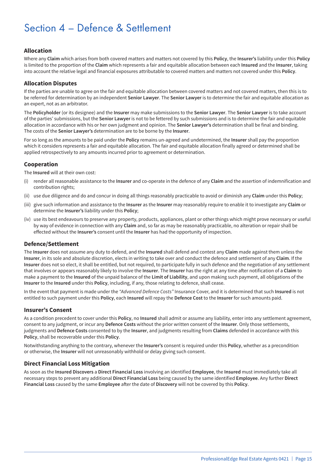# Section 4 – Defence & Settlement

#### **Allocation**

Where any **Claim** which arises from both covered matters and matters not covered by this **Policy**, the **Insurer's** liability under this **Policy** is limited to the proportion of the **Claim** which represents a fair and equitable allocation between each **Insured** and the **Insurer**, taking into account the relative legal and financial exposures attributable to covered matters and matters not covered under this **Policy**.

#### **Allocation Disputes**

If the parties are unable to agree on the fair and equitable allocation between covered matters and not covered matters, then this is to be referred for determination by an independent **Senior Lawyer**. The **Senior Lawyer** is to determine the fair and equitable allocation as an expert, not as an arbitrator.

The **Policyholder** (or its designee) and the **Insurer** may make submissions to the **Senior Lawyer**. The **Senior Lawyer** is to take account of the parties' submissions, but the **Senior Lawyer** is not to be fettered by such submissions and is to determine the fair and equitable allocation in accordance with his or her own judgment and opinion. The **Senior Lawyer's** determination shall be final and binding. The costs of the **Senior Lawyer's** determination are to be borne by the **Insurer**.

For so long as the amounts to be paid under the **Policy** remains un-agreed and undetermined, the **Insurer** shall pay the proportion which it considers represents a fair and equitable allocation. The fair and equitable allocation finally agreed or determined shall be applied retrospectively to any amounts incurred prior to agreement or determination.

#### **Cooperation**

The **Insured** will at their own cost:

- (i) render all reasonable assistance to the **Insurer** and co-operate in the defence of any **Claim** and the assertion of indemnification and contribution rights;
- (ii) use due diligence and do and concur in doing all things reasonably practicable to avoid or diminish any **Claim** under this **Policy**;
- (iii) give such information and assistance to the **Insurer** as the **Insurer** may reasonably require to enable it to investigate any **Claim** or determine the **Insurer's** liability under this **Policy**;
- (iv) use its best endeavours to preserve any property, products, appliances, plant or other things which might prove necessary or useful by way of evidence in connection with any **Claim** and, so far as may be reasonably practicable, no alteration or repair shall be effected without the **Insurer's** consent until the **Insurer** has had the opportunity of inspection.

#### **Defence/Settlement**

The **Insurer** does not assume any duty to defend, and the **Insured** shall defend and contest any **Claim** made against them unless the **Insurer**, in its sole and absolute discretion, elects in writing to take over and conduct the defence and settlement of any **Claim**. If the **Insurer** does not so elect, it shall be entitled, but not required, to participate fully in such defence and the negotiation of any settlement that involves or appears reasonably likely to involve the **Insurer**. The **Insurer** has the right at any time after notification of a **Claim** to make a payment to the **Insured** of the unpaid balance of the **Limit of Liability**, and upon making such payment, all obligations of the **Insurer** to the **Insured** under this **Policy**, including, if any, those relating to defence, shall cease.

In the event that payment is made under the *"Advanced Defence Costs"* Insurance Cover, and it is determined that such **Insured** is not entitled to such payment under this **Policy**, each **Insured** will repay the **Defence Cost** to the **Insurer** for such amounts paid.

#### **Insurer's Consent**

As a condition precedent to cover under this **Policy**, no **Insured** shall admit or assume any liability, enter into any settlement agreement, consent to any judgment, or incur any **Defence Costs** without the prior written consent of the **Insurer**. Only those settlements, judgments and **Defence Costs** consented to by the **Insurer**, and judgments resulting from **Claims** defended in accordance with this **Policy**, shall be recoverable under this **Policy**.

Notwithstanding anything to the contrary, whenever the **Insurer's** consent is required under this **Policy**, whether as a precondition or otherwise, the **Insurer** will not unreasonably withhold or delay giving such consent.

#### **Direct Financial Loss Mitigation**

As soon as the **Insured Discovers** a **Direct Financial Loss** involving an identified **Employee**, the **Insured** must immediately take all necessary steps to prevent any additional **Direct Financial Loss** being caused by the same identified **Employee**. Any further **Direct Financial Loss** caused by the same **Employee** after the date of **Discovery** will not be covered by this **Policy**.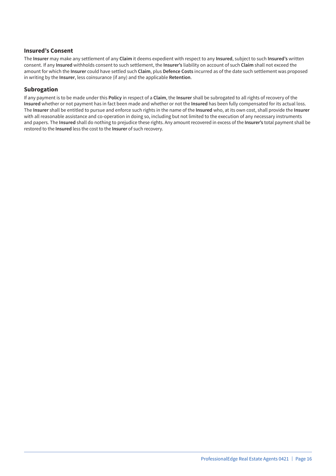#### **Insured's Consent**

The **Insurer** may make any settlement of any **Claim** it deems expedient with respect to any **Insured**, subject to such **Insured's** written consent. If any **Insured** withholds consent to such settlement, the **Insurer's** liability on account of such **Claim** shall not exceed the amount for which the **Insurer** could have settled such **Claim**, plus **Defence Costs** incurred as of the date such settlement was proposed in writing by the **Insurer**, less coinsurance (if any) and the applicable **Retention**.

#### **Subrogation**

If any payment is to be made under this **Policy** in respect of a **Claim**, the **Insurer** shall be subrogated to all rights of recovery of the **Insured** whether or not payment has in fact been made and whether or not the **Insured** has been fully compensated for its actual loss. The **Insurer** shall be entitled to pursue and enforce such rights in the name of the **Insured** who, at its own cost, shall provide the **Insurer** with all reasonable assistance and co-operation in doing so, including but not limited to the execution of any necessary instruments and papers. The **Insured** shall do nothing to prejudice these rights. Any amount recovered in excess of the **Insurer's** total payment shall be restored to the **Insured** less the cost to the **Insurer** of such recovery.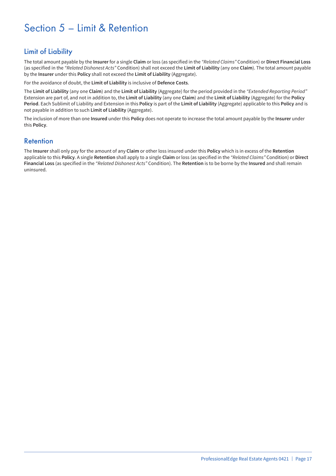# Section 5 – Limit & Retention

# Limit of Liability

The total amount payable by the **Insurer** for a single **Claim** or loss (as specified in the *"Related Claims"* Condition) or **Direct Financial Loss** (as specified in the *"Related Dishonest Acts"* Condition) shall not exceed the **Limit of Liability** (any one **Claim**). The total amount payable by the **Insurer** under this **Policy** shall not exceed the **Limit of Liability** (Aggregate).

For the avoidance of doubt, the **Limit of Liability** is inclusive of **Defence Costs**.

The **Limit of Liability** (any one **Claim**) and the **Limit of Liability** (Aggregate) for the period provided in the *"Extended Reporting Period"* Extension are part of, and not in addition to, the **Limit of Liability** (any one **Claim**) and the **Limit of Liability** (Aggregate) for the **Policy Period**. Each Sublimit of Liability and Extension in this **Policy** is part of the **Limit of Liability** (Aggregate) applicable to this **Policy** and is not payable in addition to such **Limit of Liability** (Aggregate).

The inclusion of more than one **Insured** under this **Policy** does not operate to increase the total amount payable by the **Insurer** under this **Policy**.

### Retention

The **Insurer** shall only pay for the amount of any **Claim** or other loss insured under this **Policy** which is in excess of the **Retention** applicable to this **Policy**. A single **Retention** shall apply to a single **Claim** or loss (as specified in the *"Related Claims"* Condition) or **Direct Financial Loss** (as specified in the *"Related Dishonest Acts"* Condition). The **Retention** is to be borne by the **Insured** and shall remain uninsured.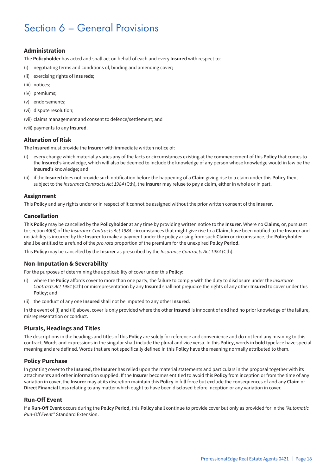# Section 6 – General Provisions

#### **Administration**

The **Policyholder** has acted and shall act on behalf of each and every **Insured** with respect to:

- (i) negotiating terms and conditions of, binding and amending cover;
- (ii) exercising rights of **Insureds**;
- (iii) notices;
- (iv) premiums;
- (v) endorsements;
- (vi) dispute resolution;
- (vii) claims management and consent to defence/settlement; and
- (viii) payments to any **Insured**.

#### **Alteration of Risk**

The **Insured** must provide the **Insurer** with immediate written notice of:

- (i) every change which materially varies any of the facts or circumstances existing at the commencement of this **Policy** that comes to the **Insured's** knowledge, which will also be deemed to include the knowledge of any person whose knowledge would in law be the **Insured's** knowledge; and
- (ii) if the **Insured** does not provide such notification before the happening of a **Claim** giving rise to a claim under this **Policy** then, subject to the *Insurance Contracts Act 1984* (Cth), the **Insurer** may refuse to pay a claim, either in whole or in part.

#### **Assignment**

This **Policy** and any rights under or in respect of it cannot be assigned without the prior written consent of the **Insurer**.

#### **Cancellation**

This **Policy** may be cancelled by the **Policyholder** at any time by providing written notice to the **Insurer**. Where no **Claims**, or, pursuant to section 40(3) of the *Insurance Contracts Act 1984*, circumstances that might give rise to a **Claim**, have been notified to the **Insurer** and no liability is incurred by the **Insurer** to make a payment under the policy arising from such **Claim** or circumstance, the **Policyholder** shall be entitled to a refund of the *pro rata* proportion of the premium for the unexpired **Policy Period**.

This **Policy** may be cancelled by the **Insurer** as prescribed by the *Insurance Contracts Act 1984* (Cth).

#### **Non-Imputation & Severability**

For the purposes of determining the applicability of cover under this **Policy**:

- (i) where the **Policy** affords cover to more than one party, the failure to comply with the duty to disclosure under the *Insurance Contracts Act 1984* (Cth) or misrepresentation by any **Insured** shall not prejudice the rights of any other **Insured** to cover under this **Policy**; and
- (ii) the conduct of any one **Insured** shall not be imputed to any other **Insured**.

In the event of (i) and (ii) above, cover is only provided where the other **Insured** is innocent of and had no prior knowledge of the failure, misrepresentation or conduct.

#### **Plurals, Headings and Titles**

The descriptions in the headings and titles of this **Policy** are solely for reference and convenience and do not lend any meaning to this contract. Words and expressions in the singular shall include the plural and vice versa. In this **Policy**, words in **bold** typeface have special meaning and are defined. Words that are not specifically defined in this **Policy** have the meaning normally attributed to them.

#### **Policy Purchase**

In granting cover to the **Insured**, the **Insurer** has relied upon the material statements and particulars in the proposal together with its attachments and other information supplied. If the **Insurer** becomes entitled to avoid this **Policy** from inception or from the time of any variation in cover, the **Insurer** may at its discretion maintain this **Policy** in full force but exclude the consequences of and any **Claim** or **Direct Financial Loss** relating to any matter which ought to have been disclosed before inception or any variation in cover.

#### **Run-Off Event**

If a **Run-Off Event** occurs during the **Policy Period**, this **Policy** shall continue to provide cover but only as provided for in the *"Automatic Run-Off Event"* Standard Extension.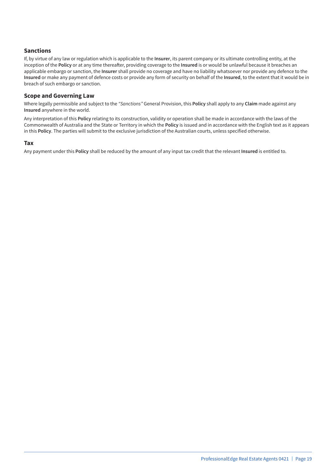#### **Sanctions**

If, by virtue of any law or regulation which is applicable to the **Insurer**, its parent company or its ultimate controlling entity, at the inception of the **Policy** or at any time thereafter, providing coverage to the **Insured** is or would be unlawful because it breaches an applicable embargo or sanction, the **Insurer** shall provide no coverage and have no liability whatsoever nor provide any defence to the **Insured** or make any payment of defence costs or provide any form of security on behalf of the **Insured**, to the extent that it would be in breach of such embargo or sanction.

#### **Scope and Governing Law**

Where legally permissible and subject to the *"Sanctions"* General Provision, this **Policy** shall apply to any **Claim** made against any **Insured** anywhere in the world.

Any interpretation of this **Policy** relating to its construction, validity or operation shall be made in accordance with the laws of the Commonwealth of Australia and the State or Territory in which the **Policy** is issued and in accordance with the English text as it appears in this **Policy**. The parties will submit to the exclusive jurisdiction of the Australian courts, unless specified otherwise.

#### **Tax**

Any payment under this **Policy** shall be reduced by the amount of any input tax credit that the relevant **Insured** is entitled to.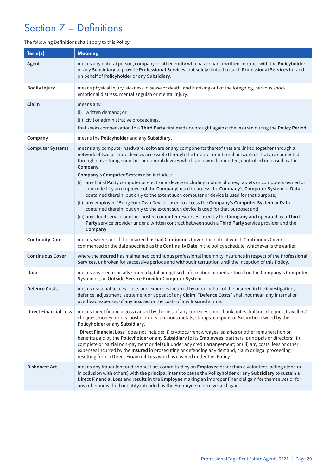# Section 7 – Definitions

#### The following Definitions shall apply to this **Policy**:

| Term(s)                      | <b>Meaning</b>                                                                                                                                                                                                                                                                                                                                                                                                                                                                                                                                                                                                                                                                                                                                                                        |
|------------------------------|---------------------------------------------------------------------------------------------------------------------------------------------------------------------------------------------------------------------------------------------------------------------------------------------------------------------------------------------------------------------------------------------------------------------------------------------------------------------------------------------------------------------------------------------------------------------------------------------------------------------------------------------------------------------------------------------------------------------------------------------------------------------------------------|
| Agent                        | means any natural person, company or other entity who has or had a written contract with the Policyholder<br>or any Subsidiary to provide Professional Services, but solely limited to such Professional Services for and<br>on behalf of Policyholder or any Subsidiary.                                                                                                                                                                                                                                                                                                                                                                                                                                                                                                             |
| <b>Bodily Injury</b>         | means physical injury, sickness, disease or death; and if arising out of the foregoing, nervous shock,<br>emotional distress, mental anguish or mental injury.                                                                                                                                                                                                                                                                                                                                                                                                                                                                                                                                                                                                                        |
| Claim                        | means any:<br>(i) written demand; or<br>(ii) civil or administrative proceedings,<br>that seeks compensation to a Third Party first made or brought against the Insured during the Policy Period.                                                                                                                                                                                                                                                                                                                                                                                                                                                                                                                                                                                     |
| Company                      | means the Policyholder and any Subsidiary.                                                                                                                                                                                                                                                                                                                                                                                                                                                                                                                                                                                                                                                                                                                                            |
| <b>Computer Systems</b>      | means any computer hardware, software or any components thereof that are linked together through a<br>network of two or more devices accessible through the Internet or internal network or that are connected<br>through data storage or other peripheral devices which are owned, operated, controlled or leased by the<br>Company.<br>Company's Computer System also includes:<br>(i) any Third Party computer or electronic device (including mobile phones, tablets or computers owned or<br>controlled by an employee of the Company) used to access the Company's Computer System or Data                                                                                                                                                                                      |
|                              | contained therein, but only to the extent such computer or device is used for that purpose;<br>(ii) any employee "Bring Your Own Device" used to access the Company's Computer System or Data<br>contained therein, but only to the extent such device is used for that purpose; and<br>(iii) any cloud service or other hosted computer resources, used by the Company and operated by a Third<br>Party service provider under a written contract between such a Third Party service provider and the<br>Company.                                                                                                                                                                                                                                                                    |
| <b>Continuity Date</b>       | means, where and if the Insured has had Continuous Cover, the date at which Continuous Cover<br>commenced or the date specified as the Continuity Date in the policy schedule, whichever is the earlier.                                                                                                                                                                                                                                                                                                                                                                                                                                                                                                                                                                              |
| <b>Continuous Cover</b>      | where the Insured has maintained continuous professional indemnity insurance in respect of the Professional<br>Services, unbroken for successive periods and without interruption until the inception of this Policy.                                                                                                                                                                                                                                                                                                                                                                                                                                                                                                                                                                 |
| Data                         | means any electronically stored digital or digitised information or media stored on the Company's Computer<br>System or, an Outside Service Provider Computer System.                                                                                                                                                                                                                                                                                                                                                                                                                                                                                                                                                                                                                 |
| <b>Defence Costs</b>         | means reasonable fees, costs and expenses incurred by or on behalf of the Insured in the investigation,<br>defence, adjustment, settlement or appeal of any Claim. "Defence Costs" shall not mean any internal or<br>overhead expenses of any Insured or the costs of any Insured's time.                                                                                                                                                                                                                                                                                                                                                                                                                                                                                             |
| <b>Direct Financial Loss</b> | means direct financial loss caused by the loss of any currency, coins, bank notes, bullion, cheques, travellers'<br>cheques, money orders, postal orders, precious metals, stamps, coupons or Securities owned by the<br>Policyholder or any Subsidiary.<br>"Direct Financial Loss" does not include: (i) cryptocurrency, wages, salaries or other remuneration or<br>benefits paid by the Policyholder or any Subsidiary to its Employees, partners, principals or directors; (ii)<br>complete or partial non-payment or default under any credit arrangement; or (iii) any costs, fees or other<br>expenses incurred by the Insured in prosecuting or defending any demand, claim or legal proceeding<br>resulting from a Direct Financial Loss which is covered under this Policy. |
| <b>Dishonest Act</b>         | means any fraudulent or dishonest act committed by an Employee other than a volunteer (acting alone or<br>in collusion with others) with the principal intent to cause the Policyholder or any Subsidiary to sustain a<br>Direct Financial Loss and results in the Employee making an improper financial gain for themselves or for<br>any other individual or entity intended by the Employee to receive such gain.                                                                                                                                                                                                                                                                                                                                                                  |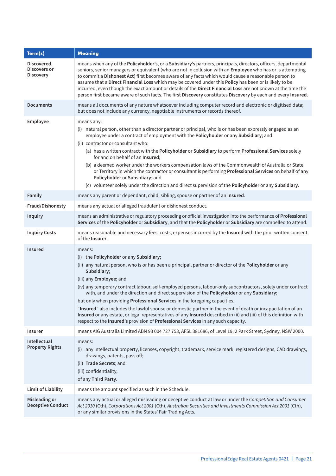| Term(s)                                         | <b>Meaning</b>                                                                                                                                                                                                                                                                                                                                                                                                                                                                                                                                                                                                                                                                                                                                                                                                                |
|-------------------------------------------------|-------------------------------------------------------------------------------------------------------------------------------------------------------------------------------------------------------------------------------------------------------------------------------------------------------------------------------------------------------------------------------------------------------------------------------------------------------------------------------------------------------------------------------------------------------------------------------------------------------------------------------------------------------------------------------------------------------------------------------------------------------------------------------------------------------------------------------|
| Discovered,<br>Discovers or<br><b>Discovery</b> | means when any of the Policyholder's, or a Subsidiary's partners, principals, directors, officers, departmental<br>seniors, senior managers or equivalent (who are not in collusion with an Employee who has or is attempting<br>to commit a Dishonest Act) first becomes aware of any facts which would cause a reasonable person to<br>assume that a Direct Financial Loss which may be covered under this Policy has been or is likely to be<br>incurred, even though the exact amount or details of the Direct Financial Loss are not known at the time the<br>person first became aware of such facts. The first Discovery constitutes Discovery by each and every Insured.                                                                                                                                              |
| <b>Documents</b>                                | means all documents of any nature whatsoever including computer record and electronic or digitised data;<br>but does not include any currency, negotiable instruments or records thereof.                                                                                                                                                                                                                                                                                                                                                                                                                                                                                                                                                                                                                                     |
| Employee                                        | means any:<br>(i) natural person, other than a director partner or principal, who is or has been expressly engaged as an<br>employee under a contract of employment with the Policyholder or any Subsidiary; and<br>(ii) contractor or consultant who:<br>(a) has a written contract with the Policyholder or Subsidiary to perform Professional Services solely<br>for and on behalf of an Insured;<br>(b) a deemed worker under the workers compensation laws of the Commonwealth of Australia or State<br>or Territory in which the contractor or consultant is performing Professional Services on behalf of any<br>Policyholder or Subsidiary; and<br>(c) volunteer solely under the direction and direct supervision of the Policyholder or any Subsidiary.                                                             |
| Family                                          | means any parent or dependant, child, sibling, spouse or partner of an Insured.                                                                                                                                                                                                                                                                                                                                                                                                                                                                                                                                                                                                                                                                                                                                               |
| Fraud/Dishonesty                                | means any actual or alleged fraudulent or dishonest conduct.                                                                                                                                                                                                                                                                                                                                                                                                                                                                                                                                                                                                                                                                                                                                                                  |
| <b>Inquiry</b>                                  | means an administrative or regulatory proceeding or official investigation into the performance of Professional<br>Services of the Policyholder or Subsidiary, and that the Policyholder or Subsidiary are compelled to attend.                                                                                                                                                                                                                                                                                                                                                                                                                                                                                                                                                                                               |
| <b>Inquiry Costs</b>                            | means reasonable and necessary fees, costs, expenses incurred by the Insured with the prior written consent<br>of the Insurer.                                                                                                                                                                                                                                                                                                                                                                                                                                                                                                                                                                                                                                                                                                |
| <b>Insured</b>                                  | means:<br>(i) the Policyholder or any Subsidiary;<br>(ii) any natural person, who is or has been a principal, partner or director of the Policyholder or any<br>Subsidiary;<br>(iii) any Employee; and<br>(iv) any temporary contract labour, self-employed persons, labour-only subcontractors, solely under contract<br>with, and under the direction and direct supervision of the Policyholder or any Subsidiary;<br>but only when providing Professional Services in the foregoing capacities.<br>"Insured" also includes the lawful spouse or domestic partner in the event of death or incapacitation of an<br>Insured or any estate, or legal representatives of any Insured described in (ii) and (iii) of this definition with<br>respect to the Insured's provision of Professional Services in any such capacity. |
| <b>Insurer</b>                                  | means AIG Australia Limited ABN 93 004 727 753, AFSL 381686, of Level 19, 2 Park Street, Sydney, NSW 2000.                                                                                                                                                                                                                                                                                                                                                                                                                                                                                                                                                                                                                                                                                                                    |
| Intellectual<br><b>Property Rights</b>          | means:<br>(i) any intellectual property, licenses, copyright, trademark, service mark, registered designs, CAD drawings,<br>drawings, patents, pass off;<br>(ii) Trade Secrets; and<br>(iii) confidentiality,<br>of any Third Party.                                                                                                                                                                                                                                                                                                                                                                                                                                                                                                                                                                                          |
| <b>Limit of Liability</b>                       | means the amount specified as such in the Schedule.                                                                                                                                                                                                                                                                                                                                                                                                                                                                                                                                                                                                                                                                                                                                                                           |
| Misleading or<br><b>Deceptive Conduct</b>       | means any actual or alleged misleading or deceptive conduct at law or under the Competition and Consumer<br>Act 2010 (Cth), Corporations Act 2001 (Cth), Australian Securities and Investments Commission Act 2001 (Cth),<br>or any similar provisions in the States' Fair Trading Acts.                                                                                                                                                                                                                                                                                                                                                                                                                                                                                                                                      |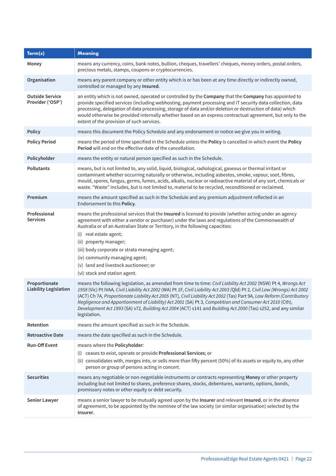| Term(s)                                       | <b>Meaning</b>                                                                                                                                                                                                                                                                                                                                                                                                                                                                                                                                                                                                  |
|-----------------------------------------------|-----------------------------------------------------------------------------------------------------------------------------------------------------------------------------------------------------------------------------------------------------------------------------------------------------------------------------------------------------------------------------------------------------------------------------------------------------------------------------------------------------------------------------------------------------------------------------------------------------------------|
| Money                                         | means any currency, coins, bank notes, bullion, cheques, travellers' cheques, money orders, postal orders,<br>precious metals, stamps, coupons or cryptocurrencies.                                                                                                                                                                                                                                                                                                                                                                                                                                             |
| Organisation                                  | means any parent company or other entity which is or has been at any time directly or indirectly owned,<br>controlled or managed by any Insured.                                                                                                                                                                                                                                                                                                                                                                                                                                                                |
| <b>Outside Service</b><br>Provider ('OSP')    | an entity which is not owned, operated or controlled by the Company that the Company has appointed to<br>provide specified services (including webhosting, payment processing and IT security data collection, data<br>processing, delegation of data processing, storage of data and/or deletion or destruction of data) which<br>would otherwise be provided internally whether based on an express contractual agreement, but only to the<br>extent of the provision of such services.                                                                                                                       |
| <b>Policy</b>                                 | means this document the Policy Schedule and any endorsement or notice we give you in writing.                                                                                                                                                                                                                                                                                                                                                                                                                                                                                                                   |
| <b>Policy Period</b>                          | means the period of time specified in the Schedule unless the Policy is cancelled in which event the Policy<br>Period will end on the effective date of the cancellation.                                                                                                                                                                                                                                                                                                                                                                                                                                       |
| Policyholder                                  | means the entity or natural person specified as such in the Schedule.                                                                                                                                                                                                                                                                                                                                                                                                                                                                                                                                           |
| <b>Pollutants</b>                             | means, but is not limited to, any solid, liquid, biological, radiological, gaseous or thermal irritant or<br>contaminant whether occurring naturally or otherwise, including asbestos, smoke, vapour, soot, fibres,<br>mould, spores, fungus, germs, fumes, acids, alkalis, nuclear or radioactive material of any sort, chemicals or<br>waste. "Waste" includes, but is not limited to, material to be recycled, reconditioned or reclaimed.                                                                                                                                                                   |
| Premium                                       | means the amount specified as such in the Schedule and any premium adjustment reflected in an<br>Endorsement to this Policy.                                                                                                                                                                                                                                                                                                                                                                                                                                                                                    |
| Professional<br><b>Services</b>               | means the professional services that the Insured is licensed to provide (whether acting under an agency<br>agreement with either a vendor or purchaser) under the laws and regulations of the Commonwealth of<br>Australia or of an Australian State or Territory, in the following capacities:<br>(i) real estate agent;<br>(ii) property manager;<br>(iii) body corporate or strata managing agent;<br>(iv) community managing agent;<br>(v) land and livestock auctioneer; or<br>(vi) stock and station agent.                                                                                               |
| Proportionate<br><b>Liability Legislation</b> | means the following legislation, as amended from time to time: Civil Liability Act 2002 (NSW) Pt 4, Wrongs Act<br>1958 (Vic) Pt IVAA, Civil Liability Act 2002 (WA) Pt 1F, Civil Liability Act 2003 (Qld) Pt 2, Civil Law (Wrongs) Act 2002<br>(ACT) Ch 7A, Proportionate Liability Act 2005 (NT), Civil Liability Act 2002 (Tas) Part 9A, Law Reform (Contributory<br>Negligence and Apportionment of Liability) Act 2001 (SA) Pt 3, Competition and Consumer Act 2010 (Cth),<br>Development Act 1993 (SA) s72, Building Act 2004 (ACT) s141 and Building Act 2000 (Tas) s252, and any similar<br>legislation. |
| Retention                                     | means the amount specified as such in the Schedule.                                                                                                                                                                                                                                                                                                                                                                                                                                                                                                                                                             |
| <b>Retroactive Date</b>                       | means the date specified as such in the Schedule.                                                                                                                                                                                                                                                                                                                                                                                                                                                                                                                                                               |
| <b>Run-Off Event</b>                          | means where the Policyholder:<br>(i) ceases to exist, operate or provide Professional Services; or<br>(ii) consolidates with, merges into, or sells more than fifty percent (50%) of its assets or equity to, any other<br>person or group of persons acting in concert.                                                                                                                                                                                                                                                                                                                                        |
| <b>Securities</b>                             | means any negotiable or non-negotiable instruments or contracts representing Money or other property<br>including but not limited to shares, preference shares, stocks, debentures, warrants, options, bonds,<br>promissory notes or other equity or debt security.                                                                                                                                                                                                                                                                                                                                             |
| <b>Senior Lawyer</b>                          | means a senior lawyer to be mutually agreed upon by the Insurer and relevant Insured, or in the absence<br>of agreement, to be appointed by the nominee of the law society (or similar organisation) selected by the<br>Insurer.                                                                                                                                                                                                                                                                                                                                                                                |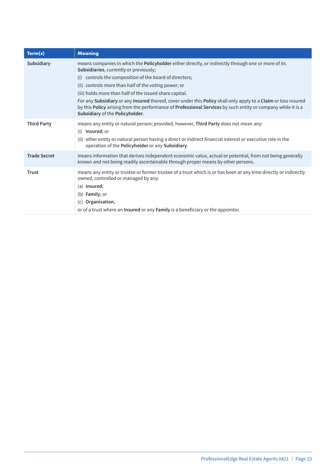| Term(s)             | <b>Meaning</b>                                                                                                                                                                                                                                                                                                           |
|---------------------|--------------------------------------------------------------------------------------------------------------------------------------------------------------------------------------------------------------------------------------------------------------------------------------------------------------------------|
| Subsidiary          | means companies in which the <b>Policyholder</b> either directly, or indirectly through one or more of its<br>Subsidiaries, currently or previously;                                                                                                                                                                     |
|                     | controls the composition of the board of directors;<br>(i)                                                                                                                                                                                                                                                               |
|                     | (ii) controls more than half of the voting power; or                                                                                                                                                                                                                                                                     |
|                     | (iii) holds more than half of the issued share capital.                                                                                                                                                                                                                                                                  |
|                     | For any Subsidiary or any Insured thereof, cover under this Policy shall only apply to a Claim or loss insured<br>by this Policy arising from the performance of Professional Services by such entity or company while it is a<br>Subsidiary of the Policyholder.                                                        |
| <b>Third Party</b>  | means any entity or natural person; provided, however, Third Party does not mean any:<br>Insured; or<br>(i)<br>(ii) other entity or natural person having a direct or indirect financial interest or executive role in the<br>operation of the Policyholder or any Subsidiary.                                           |
| <b>Trade Secret</b> | means information that derives independent economic value, actual or potential, from not being generally<br>known and not being readily ascertainable through proper means by other persons.                                                                                                                             |
| <b>Trust</b>        | means any entity or trustee or former trustee of a trust which is or has been at any time directly or indirectly<br>owned, controlled or managed by any:<br>(a) Insured;<br>(b) <b>Family</b> ; or<br>(c) Organisation,<br>or of a trust where an <b>Insured</b> or any <b>Family</b> is a beneficiary or the appointor. |